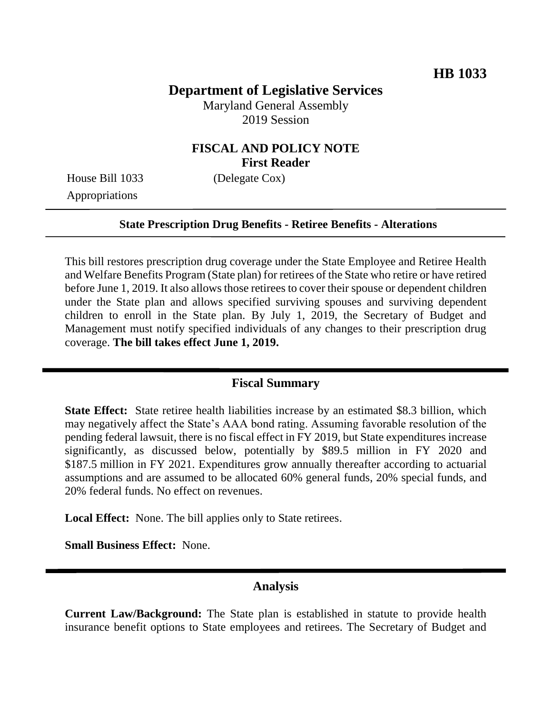# **Department of Legislative Services**

Maryland General Assembly 2019 Session

### **FISCAL AND POLICY NOTE First Reader**

House Bill 1033 (Delegate Cox) Appropriations

#### **State Prescription Drug Benefits - Retiree Benefits - Alterations**

This bill restores prescription drug coverage under the State Employee and Retiree Health and Welfare Benefits Program (State plan) for retirees of the State who retire or have retired before June 1, 2019. It also allows those retirees to cover their spouse or dependent children under the State plan and allows specified surviving spouses and surviving dependent children to enroll in the State plan. By July 1, 2019, the Secretary of Budget and Management must notify specified individuals of any changes to their prescription drug coverage. **The bill takes effect June 1, 2019.** 

### **Fiscal Summary**

**State Effect:** State retiree health liabilities increase by an estimated \$8.3 billion, which may negatively affect the State's AAA bond rating. Assuming favorable resolution of the pending federal lawsuit, there is no fiscal effect in FY 2019, but State expenditures increase significantly, as discussed below, potentially by \$89.5 million in FY 2020 and \$187.5 million in FY 2021. Expenditures grow annually thereafter according to actuarial assumptions and are assumed to be allocated 60% general funds, 20% special funds, and 20% federal funds. No effect on revenues.

**Local Effect:** None. The bill applies only to State retirees.

**Small Business Effect:** None.

### **Analysis**

**Current Law/Background:** The State plan is established in statute to provide health insurance benefit options to State employees and retirees. The Secretary of Budget and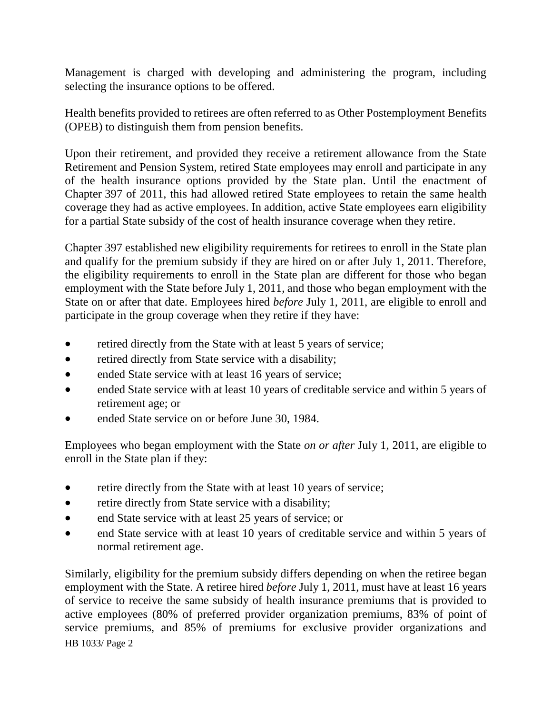Management is charged with developing and administering the program, including selecting the insurance options to be offered.

Health benefits provided to retirees are often referred to as Other Postemployment Benefits (OPEB) to distinguish them from pension benefits.

Upon their retirement, and provided they receive a retirement allowance from the State Retirement and Pension System, retired State employees may enroll and participate in any of the health insurance options provided by the State plan. Until the enactment of Chapter 397 of 2011, this had allowed retired State employees to retain the same health coverage they had as active employees. In addition, active State employees earn eligibility for a partial State subsidy of the cost of health insurance coverage when they retire.

Chapter 397 established new eligibility requirements for retirees to enroll in the State plan and qualify for the premium subsidy if they are hired on or after July 1, 2011. Therefore, the eligibility requirements to enroll in the State plan are different for those who began employment with the State before July 1, 2011, and those who began employment with the State on or after that date. Employees hired *before* July 1, 2011, are eligible to enroll and participate in the group coverage when they retire if they have:

- retired directly from the State with at least 5 years of service;
- retired directly from State service with a disability;
- ended State service with at least 16 years of service;
- ended State service with at least 10 years of creditable service and within 5 years of retirement age; or
- ended State service on or before June 30, 1984.

Employees who began employment with the State *on or after* July 1, 2011, are eligible to enroll in the State plan if they:

- retire directly from the State with at least 10 years of service;
- retire directly from State service with a disability;
- end State service with at least 25 years of service; or
- end State service with at least 10 years of creditable service and within 5 years of normal retirement age.

HB 1033/ Page 2 Similarly, eligibility for the premium subsidy differs depending on when the retiree began employment with the State. A retiree hired *before* July 1, 2011, must have at least 16 years of service to receive the same subsidy of health insurance premiums that is provided to active employees (80% of preferred provider organization premiums, 83% of point of service premiums, and 85% of premiums for exclusive provider organizations and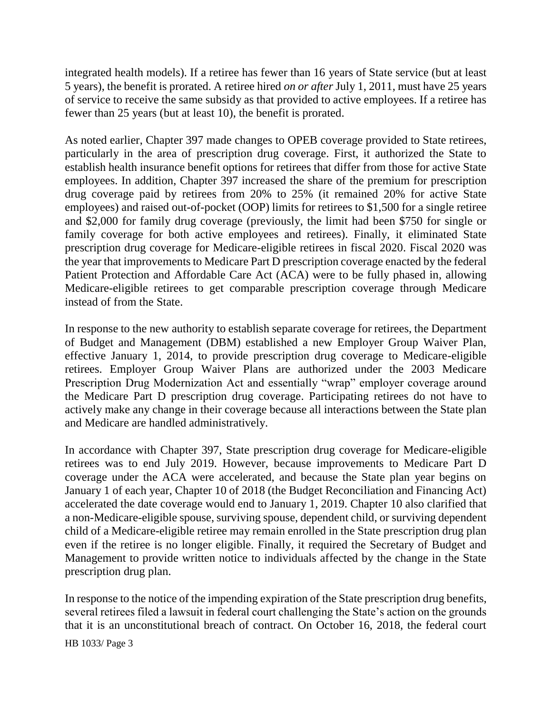integrated health models). If a retiree has fewer than 16 years of State service (but at least 5 years), the benefit is prorated. A retiree hired *on or after* July 1, 2011, must have 25 years of service to receive the same subsidy as that provided to active employees. If a retiree has fewer than 25 years (but at least 10), the benefit is prorated.

As noted earlier, Chapter 397 made changes to OPEB coverage provided to State retirees, particularly in the area of prescription drug coverage. First, it authorized the State to establish health insurance benefit options for retirees that differ from those for active State employees. In addition, Chapter 397 increased the share of the premium for prescription drug coverage paid by retirees from 20% to 25% (it remained 20% for active State employees) and raised out-of-pocket (OOP) limits for retirees to \$1,500 for a single retiree and \$2,000 for family drug coverage (previously, the limit had been \$750 for single or family coverage for both active employees and retirees). Finally, it eliminated State prescription drug coverage for Medicare-eligible retirees in fiscal 2020. Fiscal 2020 was the year that improvements to Medicare Part D prescription coverage enacted by the federal Patient Protection and Affordable Care Act (ACA) were to be fully phased in, allowing Medicare-eligible retirees to get comparable prescription coverage through Medicare instead of from the State.

In response to the new authority to establish separate coverage for retirees, the Department of Budget and Management (DBM) established a new Employer Group Waiver Plan, effective January 1, 2014, to provide prescription drug coverage to Medicare-eligible retirees. Employer Group Waiver Plans are authorized under the 2003 Medicare Prescription Drug Modernization Act and essentially "wrap" employer coverage around the Medicare Part D prescription drug coverage. Participating retirees do not have to actively make any change in their coverage because all interactions between the State plan and Medicare are handled administratively.

In accordance with Chapter 397, State prescription drug coverage for Medicare-eligible retirees was to end July 2019. However, because improvements to Medicare Part D coverage under the ACA were accelerated, and because the State plan year begins on January 1 of each year, Chapter 10 of 2018 (the Budget Reconciliation and Financing Act) accelerated the date coverage would end to January 1, 2019. Chapter 10 also clarified that a non-Medicare-eligible spouse, surviving spouse, dependent child, or surviving dependent child of a Medicare-eligible retiree may remain enrolled in the State prescription drug plan even if the retiree is no longer eligible. Finally, it required the Secretary of Budget and Management to provide written notice to individuals affected by the change in the State prescription drug plan.

In response to the notice of the impending expiration of the State prescription drug benefits, several retirees filed a lawsuit in federal court challenging the State's action on the grounds that it is an unconstitutional breach of contract. On October 16, 2018, the federal court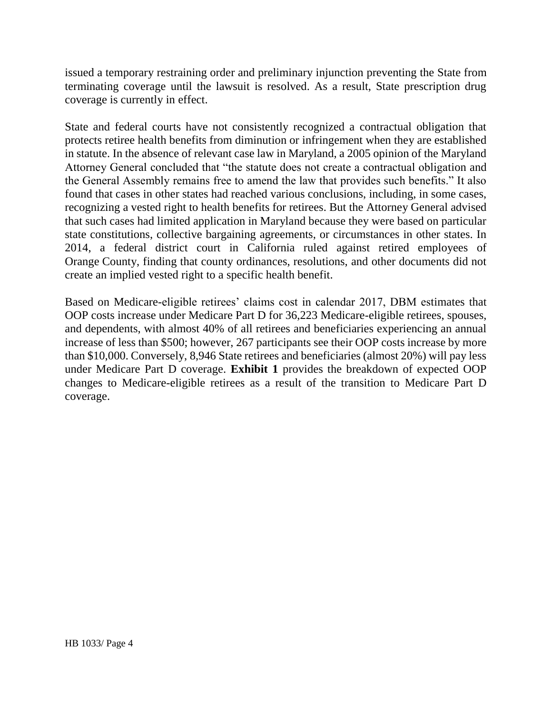issued a temporary restraining order and preliminary injunction preventing the State from terminating coverage until the lawsuit is resolved. As a result, State prescription drug coverage is currently in effect.

State and federal courts have not consistently recognized a contractual obligation that protects retiree health benefits from diminution or infringement when they are established in statute. In the absence of relevant case law in Maryland, a 2005 opinion of the Maryland Attorney General concluded that "the statute does not create a contractual obligation and the General Assembly remains free to amend the law that provides such benefits." It also found that cases in other states had reached various conclusions, including, in some cases, recognizing a vested right to health benefits for retirees. But the Attorney General advised that such cases had limited application in Maryland because they were based on particular state constitutions, collective bargaining agreements, or circumstances in other states. In 2014, a federal district court in California ruled against retired employees of Orange County, finding that county ordinances, resolutions, and other documents did not create an implied vested right to a specific health benefit.

Based on Medicare-eligible retirees' claims cost in calendar 2017, DBM estimates that OOP costs increase under Medicare Part D for 36,223 Medicare-eligible retirees, spouses, and dependents, with almost 40% of all retirees and beneficiaries experiencing an annual increase of less than \$500; however, 267 participants see their OOP costs increase by more than \$10,000. Conversely, 8,946 State retirees and beneficiaries (almost 20%) will pay less under Medicare Part D coverage. **Exhibit 1** provides the breakdown of expected OOP changes to Medicare-eligible retirees as a result of the transition to Medicare Part D coverage.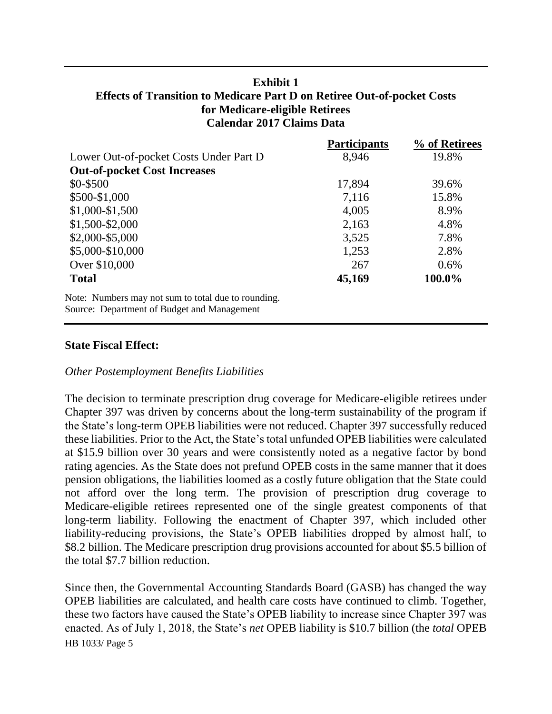### **Exhibit 1 Effects of Transition to Medicare Part D on Retiree Out-of-pocket Costs for Medicare-eligible Retirees Calendar 2017 Claims Data**

|                                                     | <b>Participants</b> | % of Retirees |
|-----------------------------------------------------|---------------------|---------------|
| Lower Out-of-pocket Costs Under Part D              | 8,946               | 19.8%         |
| <b>Out-of-pocket Cost Increases</b>                 |                     |               |
| \$0-\$500                                           | 17,894              | 39.6%         |
| \$500-\$1,000                                       | 7,116               | 15.8%         |
| $$1,000-S1,500$                                     | 4,005               | 8.9%          |
| \$1,500-\$2,000                                     | 2,163               | 4.8%          |
| \$2,000-\$5,000                                     | 3,525               | 7.8%          |
| \$5,000-\$10,000                                    | 1,253               | 2.8%          |
| Over \$10,000                                       | 267                 | 0.6%          |
| <b>Total</b>                                        | 45,169              | 100.0%        |
| Note: Numbers may not sum to total due to rounding. |                     |               |
| Source: Department of Budget and Management         |                     |               |

### **State Fiscal Effect:**

### *Other Postemployment Benefits Liabilities*

The decision to terminate prescription drug coverage for Medicare-eligible retirees under Chapter 397 was driven by concerns about the long-term sustainability of the program if the State's long-term OPEB liabilities were not reduced. Chapter 397 successfully reduced these liabilities. Prior to the Act, the State's total unfunded OPEB liabilities were calculated at \$15.9 billion over 30 years and were consistently noted as a negative factor by bond rating agencies. As the State does not prefund OPEB costs in the same manner that it does pension obligations, the liabilities loomed as a costly future obligation that the State could not afford over the long term. The provision of prescription drug coverage to Medicare-eligible retirees represented one of the single greatest components of that long-term liability. Following the enactment of Chapter 397, which included other liability-reducing provisions, the State's OPEB liabilities dropped by almost half, to \$8.2 billion. The Medicare prescription drug provisions accounted for about \$5.5 billion of the total \$7.7 billion reduction.

HB 1033/ Page 5 Since then, the Governmental Accounting Standards Board (GASB) has changed the way OPEB liabilities are calculated, and health care costs have continued to climb. Together, these two factors have caused the State's OPEB liability to increase since Chapter 397 was enacted. As of July 1, 2018, the State's *net* OPEB liability is \$10.7 billion (the *total* OPEB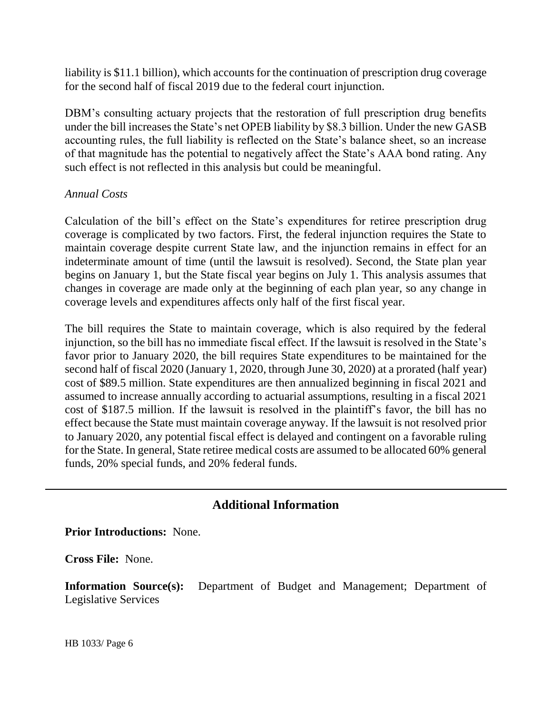liability is \$11.1 billion), which accounts for the continuation of prescription drug coverage for the second half of fiscal 2019 due to the federal court injunction.

DBM's consulting actuary projects that the restoration of full prescription drug benefits under the bill increases the State's net OPEB liability by \$8.3 billion. Under the new GASB accounting rules, the full liability is reflected on the State's balance sheet, so an increase of that magnitude has the potential to negatively affect the State's AAA bond rating. Any such effect is not reflected in this analysis but could be meaningful.

### *Annual Costs*

Calculation of the bill's effect on the State's expenditures for retiree prescription drug coverage is complicated by two factors. First, the federal injunction requires the State to maintain coverage despite current State law, and the injunction remains in effect for an indeterminate amount of time (until the lawsuit is resolved). Second, the State plan year begins on January 1, but the State fiscal year begins on July 1. This analysis assumes that changes in coverage are made only at the beginning of each plan year, so any change in coverage levels and expenditures affects only half of the first fiscal year.

The bill requires the State to maintain coverage, which is also required by the federal injunction, so the bill has no immediate fiscal effect. If the lawsuit is resolved in the State's favor prior to January 2020, the bill requires State expenditures to be maintained for the second half of fiscal 2020 (January 1, 2020, through June 30, 2020) at a prorated (half year) cost of \$89.5 million. State expenditures are then annualized beginning in fiscal 2021 and assumed to increase annually according to actuarial assumptions, resulting in a fiscal 2021 cost of \$187.5 million. If the lawsuit is resolved in the plaintiff's favor, the bill has no effect because the State must maintain coverage anyway. If the lawsuit is not resolved prior to January 2020, any potential fiscal effect is delayed and contingent on a favorable ruling for the State. In general, State retiree medical costs are assumed to be allocated 60% general funds, 20% special funds, and 20% federal funds.

## **Additional Information**

**Prior Introductions:** None.

**Cross File:** None.

**Information Source(s):** Department of Budget and Management; Department of Legislative Services